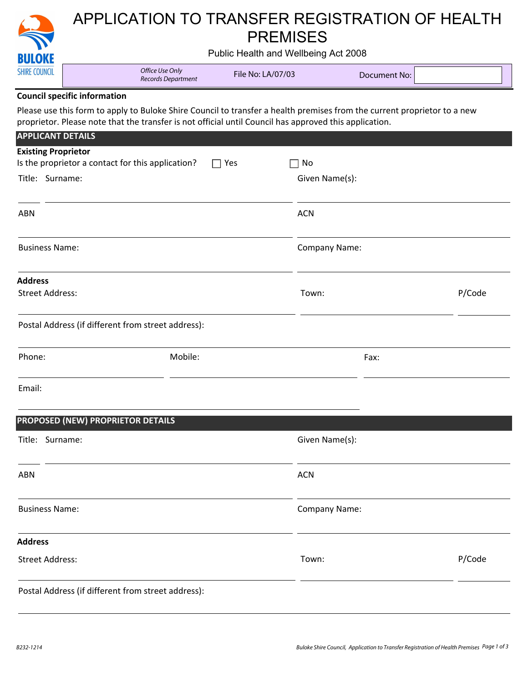|                            | APPLICATION TO TRANSFER REGISTRATION OF HEALTH                                                                                                                                                                                     |                   |                      |                     |        |  |  |
|----------------------------|------------------------------------------------------------------------------------------------------------------------------------------------------------------------------------------------------------------------------------|-------------------|----------------------|---------------------|--------|--|--|
| <b>BULOKE</b>              | <b>PREMISES</b><br>Public Health and Wellbeing Act 2008                                                                                                                                                                            |                   |                      |                     |        |  |  |
| <b>SHIRE COUNCIL</b>       | Office Use Only<br>Records Department                                                                                                                                                                                              | File No: LA/07/03 |                      | <b>Document No:</b> |        |  |  |
|                            | <b>Council specific information</b>                                                                                                                                                                                                |                   |                      |                     |        |  |  |
|                            | Please use this form to apply to Buloke Shire Council to transfer a health premises from the current proprietor to a new<br>proprietor. Please note that the transfer is not official until Council has approved this application. |                   |                      |                     |        |  |  |
| <b>APPLICANT DETAILS</b>   |                                                                                                                                                                                                                                    |                   |                      |                     |        |  |  |
| <b>Existing Proprietor</b> | Is the proprietor a contact for this application?                                                                                                                                                                                  | Yes               | No                   |                     |        |  |  |
| Title: Surname:            |                                                                                                                                                                                                                                    |                   | Given Name(s):       |                     |        |  |  |
| <b>ABN</b>                 |                                                                                                                                                                                                                                    |                   | <b>ACN</b>           |                     |        |  |  |
| <b>Business Name:</b>      |                                                                                                                                                                                                                                    |                   | <b>Company Name:</b> |                     |        |  |  |
| <b>Address</b>             |                                                                                                                                                                                                                                    |                   |                      |                     |        |  |  |
| <b>Street Address:</b>     |                                                                                                                                                                                                                                    |                   | Town:                |                     | P/Code |  |  |
|                            | Postal Address (if different from street address):                                                                                                                                                                                 |                   |                      |                     |        |  |  |
| Phone:                     | Mobile:                                                                                                                                                                                                                            |                   |                      | Fax:                |        |  |  |
| Email:                     |                                                                                                                                                                                                                                    |                   |                      |                     |        |  |  |
|                            | PROPOSED (NEW) PROPRIETOR DETAILS                                                                                                                                                                                                  |                   |                      |                     |        |  |  |
| Title: Surname:            |                                                                                                                                                                                                                                    |                   | Given Name(s):       |                     |        |  |  |
| <b>ABN</b>                 |                                                                                                                                                                                                                                    |                   | <b>ACN</b>           |                     |        |  |  |
| <b>Business Name:</b>      |                                                                                                                                                                                                                                    |                   | <b>Company Name:</b> |                     |        |  |  |
| <b>Address</b>             |                                                                                                                                                                                                                                    |                   |                      |                     |        |  |  |
| <b>Street Address:</b>     |                                                                                                                                                                                                                                    |                   | Town:                |                     | P/Code |  |  |
|                            | Postal Address (if different from street address):                                                                                                                                                                                 |                   |                      |                     |        |  |  |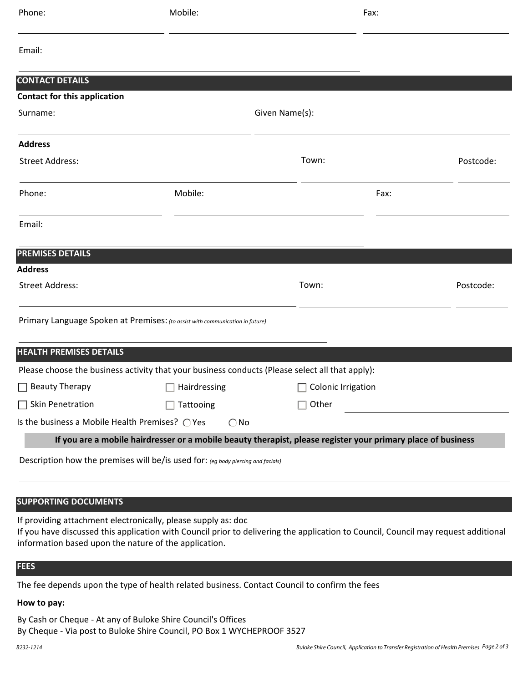| Phone:                                                                        | Mobile:                                                                                         | Fax:                                                                                                         |           |  |  |  |  |
|-------------------------------------------------------------------------------|-------------------------------------------------------------------------------------------------|--------------------------------------------------------------------------------------------------------------|-----------|--|--|--|--|
| Email:                                                                        |                                                                                                 |                                                                                                              |           |  |  |  |  |
| <b>CONTACT DETAILS</b>                                                        |                                                                                                 |                                                                                                              |           |  |  |  |  |
| <b>Contact for this application</b>                                           |                                                                                                 |                                                                                                              |           |  |  |  |  |
| Surname:                                                                      |                                                                                                 | Given Name(s):                                                                                               |           |  |  |  |  |
| <b>Address</b>                                                                |                                                                                                 |                                                                                                              |           |  |  |  |  |
| <b>Street Address:</b>                                                        |                                                                                                 | Town:                                                                                                        | Postcode: |  |  |  |  |
| Phone:                                                                        | Mobile:                                                                                         | Fax:                                                                                                         |           |  |  |  |  |
| Email:                                                                        |                                                                                                 |                                                                                                              |           |  |  |  |  |
| <b>PREMISES DETAILS</b>                                                       |                                                                                                 |                                                                                                              |           |  |  |  |  |
| <b>Address</b>                                                                |                                                                                                 |                                                                                                              |           |  |  |  |  |
| <b>Street Address:</b>                                                        |                                                                                                 | Town:                                                                                                        | Postcode: |  |  |  |  |
| Primary Language Spoken at Premises: (to assist with communication in future) |                                                                                                 |                                                                                                              |           |  |  |  |  |
| <b>HEALTH PREMISES DETAILS</b>                                                |                                                                                                 |                                                                                                              |           |  |  |  |  |
|                                                                               | Please choose the business activity that your business conducts (Please select all that apply): |                                                                                                              |           |  |  |  |  |
| $\Box$ Beauty Therapy                                                         | Hairdressing                                                                                    | Colonic Irrigation                                                                                           |           |  |  |  |  |
| $\Box$ Skin Penetration                                                       | Tattooing                                                                                       | Other                                                                                                        |           |  |  |  |  |
| Is the business a Mobile Health Premises? O Yes                               | $\bigcirc$ No                                                                                   |                                                                                                              |           |  |  |  |  |
|                                                                               |                                                                                                 | If you are a mobile hairdresser or a mobile beauty therapist, please register your primary place of business |           |  |  |  |  |
|                                                                               | Description how the premises will be/is used for: (eg body piercing and facials)                |                                                                                                              |           |  |  |  |  |
|                                                                               |                                                                                                 |                                                                                                              |           |  |  |  |  |

# **SUPPORTING DOCUMENTS**

If providing attachment electronically, please supply as: doc

If you have discussed this application with Council prior to delivering the application to Council, Council may request additional information based upon the nature of the application.

# **FEES**

The fee depends upon the type of health related business. Contact Council to confirm the fees

## **How to pay:**

By Cash or Cheque - At any of Buloke Shire Council's Offices By Cheque - Via post to Buloke Shire Council, PO Box 1 WYCHEPROOF 3527